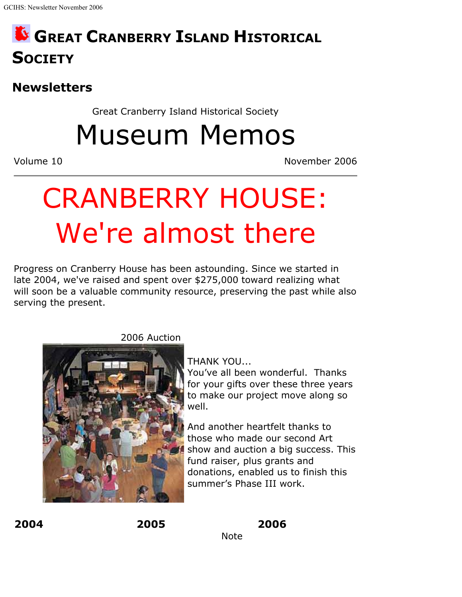# **GREAT CRANBERRY ISLAND HISTORICAL SOCIETY**

### **Newsletters**

Great Cranberry Island Historical Society

Museum Memos

Volume 10 November 2006

# CRANBERRY HOUSE: We're almost there

Progress on Cranberry House has been astounding. Since we started in late 2004, we've raised and spent over \$275,000 toward realizing what will soon be a valuable community resource, preserving the past while also serving the present.



2006 Auction

THANK YOU...

You've all been wonderful. Thanks for your gifts over these three years to make our project move along so well.

And another heartfelt thanks to those who made our second Art show and auction a big success. This fund raiser, plus grants and donations, enabled us to finish this summer's Phase III work.

**2004 2005**

**2006**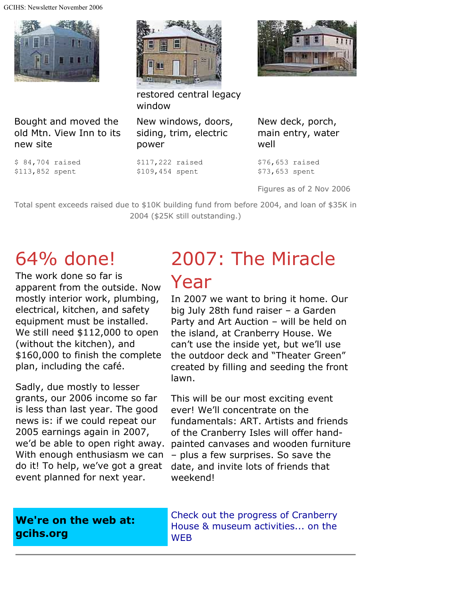GCIHS: Newsletter November 2006





restored central legacy window

Bought and moved the old Mtn. View Inn to its new site

\$ 84,704 raised \$113,852 spent

New windows, doors, siding, trim, electric power

\$117,222 raised \$109,454 spent

New deck, porch, main entry, water well

\$76,653 raised \$73,653 spent

Figures as of 2 Nov 2006

Total spent exceeds raised due to \$10K building fund from before 2004, and loan of \$35K in 2004 (\$25K still outstanding.)

# 64% done!

The work done so far is apparent from the outside. Now mostly interior work, plumbing, electrical, kitchen, and safety equipment must be installed. We still need \$112,000 to open (without the kitchen), and \$160,000 to finish the complete plan, including the café.

Sadly, due mostly to lesser grants, our 2006 income so far is less than last year. The good news is: if we could repeat our 2005 earnings again in 2007, we'd be able to open right away. With enough enthusiasm we can do it! To help, we've got a great event planned for next year.

# 2007: The Miracle Year

In 2007 we want to bring it home. Our big July 28th fund raiser – a Garden Party and Art Auction – will be held on the island, at Cranberry House. We can't use the inside yet, but we'll use the outdoor deck and "Theater Green" created by filling and seeding the front lawn.

This will be our most exciting event ever! We'll concentrate on the fundamentals: ART. Artists and friends of the Cranberry Isles will offer handpainted canvases and wooden furniture – plus a few surprises. So save the date, and invite lots of friends that weekend!

#### **We're on the web at: gcihs.org**

Check out the progress of Cranberry House & museum activities... on the **WEB**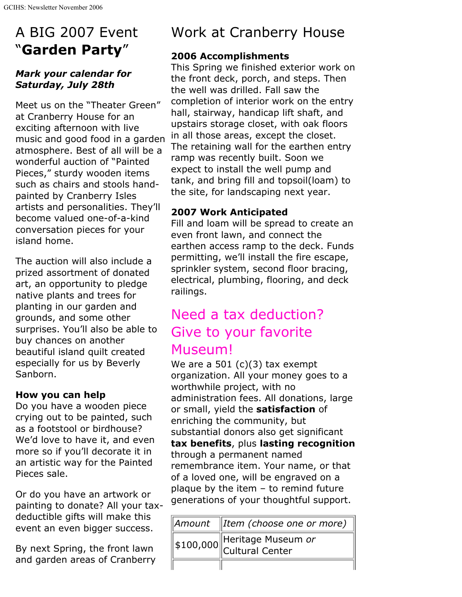## A BIG 2007 Event "**Garden Party**"

#### *Mark your calendar for Saturday, July 28th*

Meet us on the "Theater Green" at Cranberry House for an exciting afternoon with live music and good food in a garden atmosphere. Best of all will be a wonderful auction of "Painted Pieces," sturdy wooden items such as chairs and stools handpainted by Cranberry Isles artists and personalities. They'll become valued one-of-a-kind conversation pieces for your island home.

The auction will also include a prized assortment of donated art, an opportunity to pledge native plants and trees for planting in our garden and grounds, and some other surprises. You'll also be able to buy chances on another beautiful island quilt created especially for us by Beverly Sanborn.

#### **How you can help**

Do you have a wooden piece crying out to be painted, such as a footstool or birdhouse? We'd love to have it, and even more so if you'll decorate it in an artistic way for the Painted Pieces sale.

Or do you have an artwork or painting to donate? All your taxdeductible gifts will make this event an even bigger success.

By next Spring, the front lawn and garden areas of Cranberry

### Work at Cranberry House

#### **2006 Accomplishments**

This Spring we finished exterior work on the front deck, porch, and steps. Then the well was drilled. Fall saw the completion of interior work on the entry hall, stairway, handicap lift shaft, and upstairs storage closet, with oak floors in all those areas, except the closet. The retaining wall for the earthen entry ramp was recently built. Soon we expect to install the well pump and tank, and bring fill and topsoil(loam) to the site, for landscaping next year.

#### **2007 Work Anticipated**

Fill and loam will be spread to create an even front lawn, and connect the earthen access ramp to the deck. Funds permitting, we'll install the fire escape, sprinkler system, second floor bracing, electrical, plumbing, flooring, and deck railings.

### Need a tax deduction? Give to your favorite Museum!

We are a 501  $(c)(3)$  tax exempt organization. All your money goes to a worthwhile project, with no administration fees. All donations, large or small, yield the **satisfaction** of enriching the community, but substantial donors also get significant **tax benefits**, plus **lasting recognition** through a permanent named remembrance item. Your name, or that of a loved one, will be engraved on a plaque by the item  $-$  to remind future generations of your thoughtful support.

| Amount   Item (choose one or more)                                       |
|--------------------------------------------------------------------------|
| $\sqrt{\frac{1}{2}}100,000$ Heritage Museum <i>or</i><br>Cultural Center |
|                                                                          |